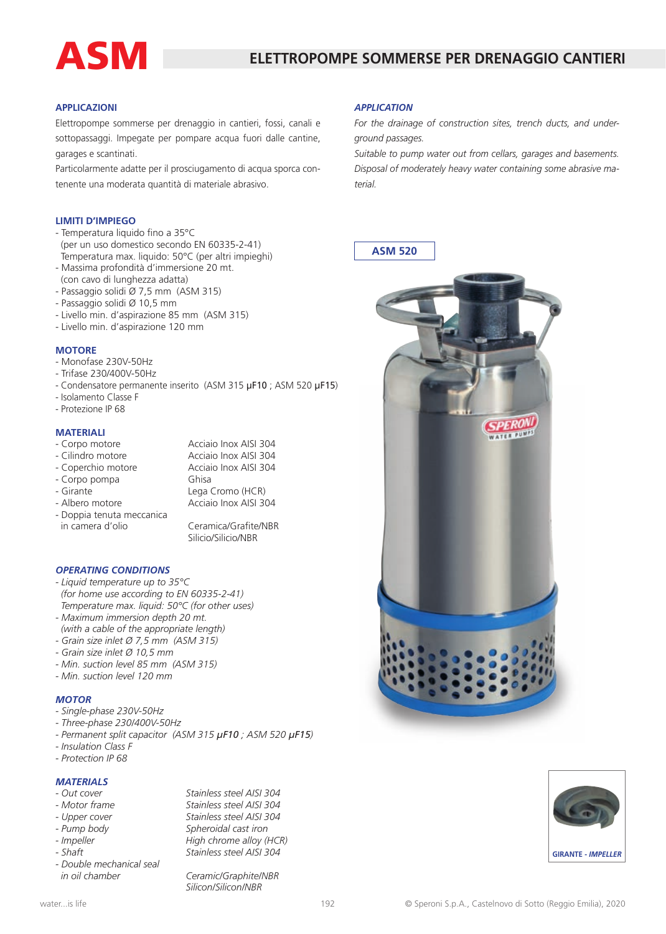

## **APPLICAZIONI**

Elettropompe sommerse per drenaggio in cantieri, fossi, canali e sottopassaggi. Impegate per pompare acqua fuori dalle cantine, garages e scantinati.

Particolarmente adatte per il prosciugamento di acqua sporca contenente una moderata quantità di materiale abrasivo.

#### **LIMITI D'IMPIEGO**

- Temperatura liquido fino a 35°C (per un uso domestico secondo EN 60335-2-41) Temperatura max. liquido: 50°C (per altri impieghi)
- Massima profondità d'immersione 20 mt.
- (con cavo di lunghezza adatta)
- Passaggio solidi Ø 7,5 mm (ASM 315)
- Passaggio solidi Ø 10,5 mm
- Livello min. d'aspirazione 85 mm (ASM 315)
- Livello min. d'aspirazione 120 mm

#### **MOTORE**

- Monofase 230V-50Hz
- Trifase 230/400V-50Hz
- Condensatore permanente inserito (ASM 315 µF10 ; ASM 520 µF15)
- Isolamento Classe F
- Protezione IP 68

## **MATERIALI**

- Corpo motore **Acciaio Inox AISI 304**<br>- Cilindro motore **Acciaio Inox AISI 304** Acciaio Inox AISI 304
- 
- Coperchio motore Acciaio Inox AISI 304
- Corpo pompa Ghisa
- 
- Girante Lega Cromo (HCR) Acciaio Inox AISI 304
- Doppia tenuta meccanica Ceramica/Grafite/NBR Silicio/Silicio/NBR

## *OPERATING CONDITIONS*

- *Liquid temperature up to 35°C (for home use according to EN 60335-2-41) Temperature max. liquid: 50°C (for other uses)*
- *Maximum immersion depth 20 mt. (with a cable of the appropriate length)*
- *Grain size inlet Ø 7,5 mm (ASM 315)*
- *Grain size inlet Ø 10,5 mm*
- *Min. suction level 85 mm (ASM 315)*
- *Min. suction level 120 mm*

## *MOTOR*

- *Single-phase 230V-50Hz*
- *Three-phase 230/400V-50Hz*
- *Permanent split capacitor (ASM 315 µF10 ; ASM 520 µF15)*
- *Insulation Class F*
- *Protection IP 68*

## *MATERIALS*

- 
- 
- 
- 
- 
- 
- *Double mechanical seal in oil chamber Ceramic/Graphite/NBR*

*- Out cover Stainless steel AISI 304 - Motor frame Stainless steel AISI 304 - Upper cover Stainless steel AISI 304 - Pump body Spheroidal cast iron*  $High$  *chrome alloy* (HCR) *- Shaft Stainless steel AISI 304*

*Silicon/Silicon/NBR*

**ASM 520**

*For the drainage of construction sites, trench ducts, and underground passages.*

*Suitable to pump water out from cellars, garages and basements. Disposal of moderately heavy water containing some abrasive material.*